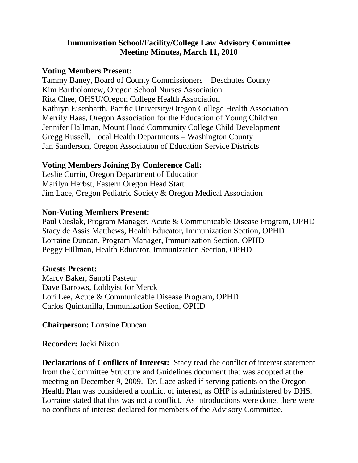### **Immunization School/Facility/College Law Advisory Committee Meeting Minutes, March 11, 2010**

#### **Voting Members Present:**

Tammy Baney, Board of County Commissioners – Deschutes County Kim Bartholomew, Oregon School Nurses Association Rita Chee, OHSU/Oregon College Health Association Kathryn Eisenbarth, Pacific University/Oregon College Health Association Merrily Haas, Oregon Association for the Education of Young Children Jennifer Hallman, Mount Hood Community College Child Development Gregg Russell, Local Health Departments – Washington County Jan Sanderson, Oregon Association of Education Service Districts

### **Voting Members Joining By Conference Call:**

Leslie Currin, Oregon Department of Education Marilyn Herbst, Eastern Oregon Head Start Jim Lace, Oregon Pediatric Society & Oregon Medical Association

#### **Non-Voting Members Present:**

Paul Cieslak, Program Manager, Acute & Communicable Disease Program, OPHD Stacy de Assis Matthews, Health Educator, Immunization Section, OPHD Lorraine Duncan, Program Manager, Immunization Section, OPHD Peggy Hillman, Health Educator, Immunization Section, OPHD

### **Guests Present:**

Marcy Baker, Sanofi Pasteur Dave Barrows, Lobbyist for Merck Lori Lee, Acute & Communicable Disease Program, OPHD Carlos Quintanilla, Immunization Section, OPHD

**Chairperson:** Lorraine Duncan

**Recorder:** Jacki Nixon

**Declarations of Conflicts of Interest:** Stacy read the conflict of interest statement from the Committee Structure and Guidelines document that was adopted at the meeting on December 9, 2009. Dr. Lace asked if serving patients on the Oregon Health Plan was considered a conflict of interest, as OHP is administered by DHS. Lorraine stated that this was not a conflict. As introductions were done, there were no conflicts of interest declared for members of the Advisory Committee.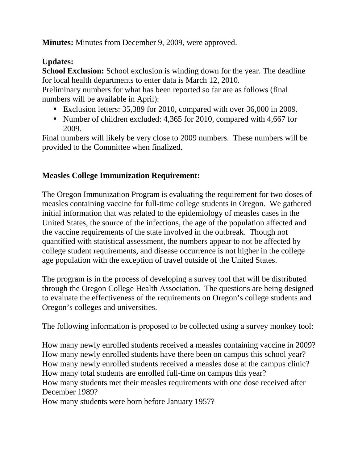**Minutes:** Minutes from December 9, 2009, were approved.

# **Updates:**

**School Exclusion:** School exclusion is winding down for the year. The deadline for local health departments to enter data is March 12, 2010.

Preliminary numbers for what has been reported so far are as follows (final numbers will be available in April):

- Exclusion letters: 35,389 for 2010, compared with over 36,000 in 2009.
- Number of children excluded: 4,365 for 2010, compared with 4,667 for 2009.

Final numbers will likely be very close to 2009 numbers. These numbers will be provided to the Committee when finalized.

## **Measles College Immunization Requirement:**

The Oregon Immunization Program is evaluating the requirement for two doses of measles containing vaccine for full-time college students in Oregon. We gathered initial information that was related to the epidemiology of measles cases in the United States, the source of the infections, the age of the population affected and the vaccine requirements of the state involved in the outbreak. Though not quantified with statistical assessment, the numbers appear to not be affected by college student requirements, and disease occurrence is not higher in the college age population with the exception of travel outside of the United States.

The program is in the process of developing a survey tool that will be distributed through the Oregon College Health Association. The questions are being designed to evaluate the effectiveness of the requirements on Oregon's college students and Oregon's colleges and universities.

The following information is proposed to be collected using a survey monkey tool:

How many newly enrolled students received a measles containing vaccine in 2009? How many newly enrolled students have there been on campus this school year? How many newly enrolled students received a measles dose at the campus clinic? How many total students are enrolled full-time on campus this year? How many students met their measles requirements with one dose received after December 1989?

How many students were born before January 1957?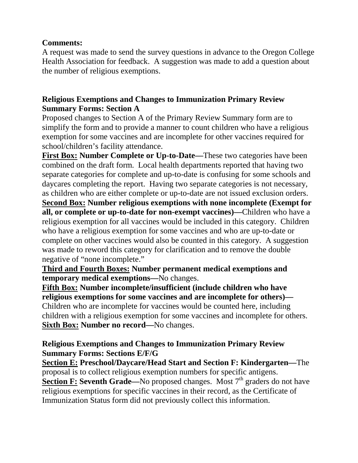### **Comments:**

A request was made to send the survey questions in advance to the Oregon College Health Association for feedback. A suggestion was made to add a question about the number of religious exemptions.

### **Religious Exemptions and Changes to Immunization Primary Review Summary Forms: Section A**

Proposed changes to Section A of the Primary Review Summary form are to simplify the form and to provide a manner to count children who have a religious exemption for some vaccines and are incomplete for other vaccines required for school/children's facility attendance.

**First Box: Number Complete or Up-to-Date—**These two categories have been combined on the draft form. Local health departments reported that having two separate categories for complete and up-to-date is confusing for some schools and daycares completing the report. Having two separate categories is not necessary, as children who are either complete or up-to-date are not issued exclusion orders. **Second Box: Number religious exemptions with none incomplete (Exempt for all, or complete or up-to-date for non-exempt vaccines)—**Children who have a religious exemption for all vaccines would be included in this category. Children who have a religious exemption for some vaccines and who are up-to-date or complete on other vaccines would also be counted in this category. A suggestion was made to reword this category for clarification and to remove the double negative of "none incomplete."

### **Third and Fourth Boxes: Number permanent medical exemptions and temporary medical exemptions—**No changes.

**Fifth Box: Number incomplete/insufficient (include children who have religious exemptions for some vaccines and are incomplete for others)—** Children who are incomplete for vaccines would be counted here, including children with a religious exemption for some vaccines and incomplete for others. **Sixth Box: Number no record—**No changes.

### **Religious Exemptions and Changes to Immunization Primary Review Summary Forms: Sections E/F/G**

**Section E: Preschool/Daycare/Head Start and Section F: Kindergarten—**The proposal is to collect religious exemption numbers for specific antigens. **Section F: Seventh Grade—No** proposed changes. Most 7<sup>th</sup> graders do not have religious exemptions for specific vaccines in their record, as the Certificate of Immunization Status form did not previously collect this information.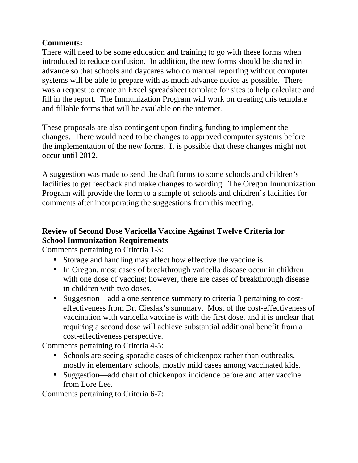## **Comments:**

There will need to be some education and training to go with these forms when introduced to reduce confusion. In addition, the new forms should be shared in advance so that schools and daycares who do manual reporting without computer systems will be able to prepare with as much advance notice as possible. There was a request to create an Excel spreadsheet template for sites to help calculate and fill in the report. The Immunization Program will work on creating this template and fillable forms that will be available on the internet.

These proposals are also contingent upon finding funding to implement the changes. There would need to be changes to approved computer systems before the implementation of the new forms. It is possible that these changes might not occur until 2012.

A suggestion was made to send the draft forms to some schools and children's facilities to get feedback and make changes to wording. The Oregon Immunization Program will provide the form to a sample of schools and children's facilities for comments after incorporating the suggestions from this meeting.

# **Review of Second Dose Varicella Vaccine Against Twelve Criteria for School Immunization Requirements**

Comments pertaining to Criteria 1-3:

- Storage and handling may affect how effective the vaccine is.
- In Oregon, most cases of breakthrough varicella disease occur in children with one dose of vaccine; however, there are cases of breakthrough disease in children with two doses.
- Suggestion—add a one sentence summary to criteria 3 pertaining to costeffectiveness from Dr. Cieslak's summary. Most of the cost-effectiveness of vaccination with varicella vaccine is with the first dose, and it is unclear that requiring a second dose will achieve substantial additional benefit from a cost-effectiveness perspective.

Comments pertaining to Criteria 4-5:

- Schools are seeing sporadic cases of chickenpox rather than outbreaks, mostly in elementary schools, mostly mild cases among vaccinated kids.
- Suggestion—add chart of chickenpox incidence before and after vaccine from Lore Lee.

Comments pertaining to Criteria 6-7: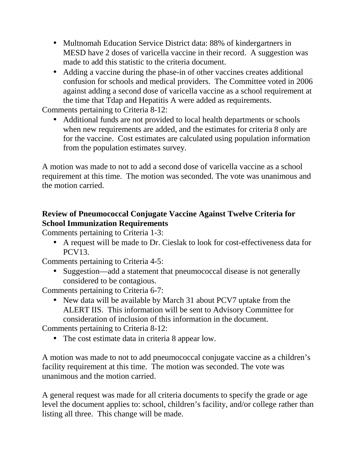- Multnomah Education Service District data: 88% of kindergartners in MESD have 2 doses of varicella vaccine in their record. A suggestion was made to add this statistic to the criteria document.
- Adding a vaccine during the phase-in of other vaccines creates additional confusion for schools and medical providers. The Committee voted in 2006 against adding a second dose of varicella vaccine as a school requirement at the time that Tdap and Hepatitis A were added as requirements.

Comments pertaining to Criteria 8-12:

• Additional funds are not provided to local health departments or schools when new requirements are added, and the estimates for criteria 8 only are for the vaccine. Cost estimates are calculated using population information from the population estimates survey.

A motion was made to not to add a second dose of varicella vaccine as a school requirement at this time. The motion was seconded. The vote was unanimous and the motion carried.

## **Review of Pneumococcal Conjugate Vaccine Against Twelve Criteria for School Immunization Requirements**

Comments pertaining to Criteria 1-3:

• A request will be made to Dr. Cieslak to look for cost-effectiveness data for PCV13.

Comments pertaining to Criteria 4-5:

• Suggestion—add a statement that pneumococcal disease is not generally considered to be contagious.

Comments pertaining to Criteria 6-7:

• New data will be available by March 31 about PCV7 uptake from the ALERT IIS. This information will be sent to Advisory Committee for consideration of inclusion of this information in the document.

Comments pertaining to Criteria 8-12:

• The cost estimate data in criteria 8 appear low.

A motion was made to not to add pneumococcal conjugate vaccine as a children's facility requirement at this time. The motion was seconded. The vote was unanimous and the motion carried.

A general request was made for all criteria documents to specify the grade or age level the document applies to: school, children's facility, and/or college rather than listing all three. This change will be made.